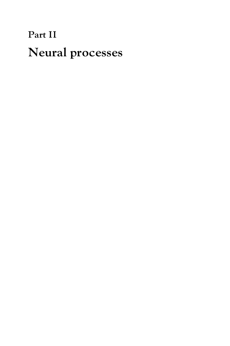# **Part II Neural processes**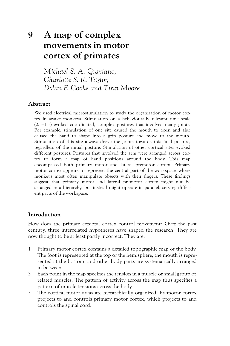# **9 A map of complex movements in motor cortex of primates**

*Michael S. A. Graziano, Charlotte S. R. Taylor, Dylan F. Cooke and Tirin Moore*

# **Abstract**

We used electrical microstimulation to study the organization of motor cortex in awake monkeys. Stimulation on a behaviourally relevant time scale (0.5–1 s) evoked coordinated, complex postures that involved many joints. For example, stimulation of one site caused the mouth to open and also caused the hand to shape into a grip posture and move to the mouth. Stimulation of this site always drove the joints towards this final posture, regardless of the initial posture. Stimulation of other cortical sites evoked different postures. Postures that involved the arm were arranged across cortex to form a map of hand positions around the body. This map encompassed both primary motor and lateral premotor cortex. Primary motor cortex appears to represent the central part of the workspace, where monkeys most often manipulate objects with their fingers. These findings suggest that primary motor and lateral premotor cortex might not be arranged in a hierarchy, but instead might operate in parallel, serving different parts of the workspace.

# **Introduction**

How does the primate cerebral cortex control movement? Over the past century, three interrelated hypotheses have shaped the research. They are now thought to be at least partly incorrect. They are:

- 1 Primary motor cortex contains a detailed topographic map of the body. The foot is represented at the top of the hemisphere, the mouth is represented at the bottom, and other body parts are systematically arranged in between.
- 2 Each point in the map specifies the tension in a muscle or small group of related muscles. The pattern of activity across the map thus specifies a pattern of muscle tensions across the body.
- 3 The cortical motor areas are hierarchically organized. Premotor cortex projects to and controls primary motor cortex, which projects to and controls the spinal cord.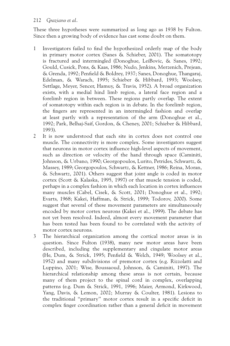### 212 *Graziano et al.*

These three hypotheses were summarized as long ago as 1938 by Fulton. Since then a growing body of evidence has cast some doubt on them.

- 1 Investigators failed to find the hypothesized orderly map of the body in primary motor cortex (Sanes & Schieber, 2001). The somatotopy is fractured and intermingled (Donoghue, LeiBovic, & Sanes, 1992; Gould, Cusick, Pons, & Kaas, 1986; Nudo, Jenkins, Merzenich, Prejean, & Grenda, 1992; Penfield & Boldrey, 1937; Sanes, Donoghue, Thangaraj, Edelman, & Warach, 1995; Schieber & Hibbard, 1993; Woolsey, Settlage, Meyer, Sencer, Hamuy, & Travis, 1952). A broad organization exists, with a medial hind limb region, a lateral face region and a forelimb region in between. These regions partly overlap. The extent of somatotopy within each region is in debate. In the forelimb region, the fingers are represented in an intermingled fashion and overlap at least partly with a representation of the arm (Donoghue et al., 1992; Park, Belhaj-Saif, Gordon, & Cheney, 2001; Schieber & Hibbard, 1993).
- 2 It is now understood that each site in cortex does not control one muscle. The connectivity is more complex. Some investigators suggest that neurons in motor cortex influence high-level aspects of movement, such as direction or velocity of the hand through space (Caminiti, Johnson, & Urbano, 1990; Georgopoulos, Lurito, Petrides, Schwartz, & Massey, 1989; Georgopoulos, Schwartz, & Kettner, 1986; Reina, Moran, & Schwartz, 2001). Others suggest that joint angle is coded in motor cortex (Scott & Kalaska, 1995, 1997) or that muscle tension is coded, perhaps in a complex fashion in which each location in cortex influences many muscles (Cabel, Cisek, & Scott, 2001; Donoghue et al., 1992; Evarts, 1968; Kakei, Haffman, & Strick, 1999; Todorov, 2000). Some suggest that several of these movement parameters are simultaneously encoded by motor cortex neurons (Kakei et al., 1999). The debate has not yet been resolved. Indeed, almost every movement parameter that has been tested has been found to be correlated with the activity of motor cortex neurons.
- 3 The hierarchical organization among the cortical motor areas is in question. Since Fulton (1938), many new motor areas have been described, including the supplementary and cingulate motor areas (He, Dum, & Strick, 1995; Penfield & Welch, 1949; Woolsey et al., 1952) and many subdivisions of premotor cortex (e.g. Rizzolatti and Luppino, 2001; Wise, Boussaoud, Johnson, & Caminiti, 1997). The hierarchical relationship among these areas is not certain, because many of them project to the spinal cord in complex, overlapping patterns (e.g. Dum & Strick, 1991, 1996; Maier, Armond, Kirkwood, Yang, Davis, & Lemon, 2002; Murray & Coulter, 1981). Lesions to the traditional "primary" motor cortex result in a specific deficit in complex finger coordination rather than a general deficit in movement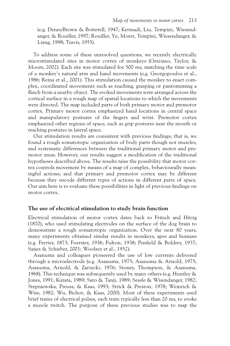(e.g. DennyBrown & Botterell, 1947; Kermadi, Liu, Tempini, Wiesendanger, & Rouiller, 1997; Rouiller, Yu, Moret, Tempini, Wiesendanger, & Liang, 1998; Travis, 1955).

To address some of these unresolved questions, we recently electrically microstimulated sites in motor cortex of monkeys (Graziano, Taylor, & Moore, 2002). Each site was stimulated for 500 ms, matching the time scale of a monkey's natural arm and hand movements (e.g. Georgopoulos et al., 1986; Reina et al., 2001). This stimulation caused the monkey to enact complex, coordinated movements such as reaching, grasping or pantomiming a flinch from a nearby object. The evoked movements were arranged across the cortical surface in a rough map of spatial locations to which the movements were directed. The map included parts of both primary motor and premotor cortex. Primary motor cortex emphasized hand locations in central space and manipulatory postures of the fingers and wrist. Premotor cortex emphasized other regions of space, such as grip postures near the mouth or reaching postures in lateral space.

Our stimulation results are consistent with previous findings; that is, we found a rough somatotopic organization of body parts though not muscles, and systematic differences between the traditional primary motor and premotor areas. However, our results suggest a modification of the traditional hypotheses described above. The results raise the possibility that motor cortex controls movement by means of a map of complex, behaviourally meaningful actions; and that primary and premotor cortex may be different because they encode different types of actions in different parts of space. Our aim here is to evaluate these possibilities in light of previous findings on motor cortex.

#### **The use of electrical stimulation to study brain function**

Electrical stimulation of motor cortex dates back to Fritsch and Hitzig (1870), who used stimulating electrodes on the surface of the dog brain to demonstrate a rough somatotopic organization. Over the next 80 years, many experiments obtained similar results in monkeys, apes and humans (e.g. Ferrier, 1873; Foerster, 1936; Fulton, 1938; Penfield & Boldrey, 1937; Sanes & Schieber, 2001; Woolsey et al., 1952).

Asanuma and colleagues pioneered the use of low currents delivered through a microelectrode (e.g. Asanuma, 1975; Asanuma & Arnold, 1975; Asanuma, Arnold, & Zarzecki, 1976; Stoney, Thompson, & Asanuma, 1968). This technique was subsequently used by many others (e.g. Huntley & Jones, 1991; Kurata, 1989; Sato & Tanji, 1989; Sessle & Wisendanger, 1982; Stepniewska, Preuss, & Kaas, 1993; Strick & Preston, 1978; Weinrich & Wise, 1982; Wu, Bichot, & Kaas, 2000). Most of these experiments used brief trains of electrical pulses, each train typically less than 20 ms, to evoke a muscle twitch. The purpose of these previous studies was to map the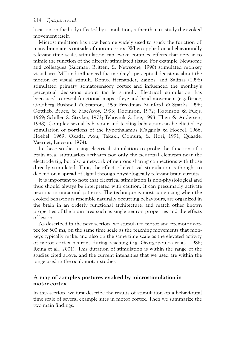location on the body affected by stimulation, rather than to study the evoked movement itself.

Microstimulation has now become widely used to study the function of many brain areas outside of motor cortex. When applied on a behaviourally relevant time scale, stimulation can evoke complex effects that appear to mimic the function of the directly stimulated tissue. For example, Newsome and colleagues (Salzman, Britten, & Newsome, 1990) stimulated monkey visual area MT and influenced the monkey's perceptual decisions about the motion of visual stimuli. Romo, Hernandez, Zainos, and Salinas (1998) stimulated primary somatosensory cortex and influenced the monkey's perceptual decisions about tactile stimuli. Electrical stimulation has been used to reveal functional maps of eye and head movement (e.g. Bruce, Goldberg, Bushnell, & Stanton, 1995; Freedman, Stanford, & Sparks, 1996; Gottlieb, Bruce, & MacAvoy, 1993; Robinson, 1972; Robinson & Fucjs, 1969; Schiller & Stryker, 1972; Tehovnik & Lee, 1993; Their & Andersen, 1998). Complex sexual behaviour and feeding behaviour can be elicited by stimulation of portions of the hypothalamus (Caggiula & Hoebel, 1966; Hoebel, 1969; Okada, Aou, Takaki, Oomura, & Hori, 1991; Quaade, Vaernet, Larsson, 1974).

In these studies using electrical stimulation to probe the function of a brain area, stimulation activates not only the neuronal elements near the electrode tip, but also a network of neurons sharing connections with those directly stimulated. Thus, the effect of electrical stimulation is thought to depend on a spread of signal through physiologically relevant brain circuits.

It is important to note that electrical stimulation is non-physiological and thus should always be interpreted with caution. It can presumably activate neurons in unnatural patterns. The technique is most convincing when the evoked behaviours resemble naturally occurring behaviours, are organized in the brain in an orderly functional architecture, and match other known properties of the brain area such as single neuron properties and the effects of lesions.

As described in the next section, we stimulated motor and premotor cortex for 500 ms, on the same time scale as the reaching movements that monkeys typically make, and also on the same time scale as the elevated activity of motor cortex neurons during reaching (e.g. Georgopoulos et al., 1986; Reina et al., 2001). This duration of stimulation is within the range of the studies cited above, and the current intensities that we used are within the range used in the oculomotor studies.

# **A map of complex postures evoked by microstimulation in motor cortex**

In this section, we first describe the results of stimulation on a behavioural time scale of several example sites in motor cortex. Then we summarize the two main findings.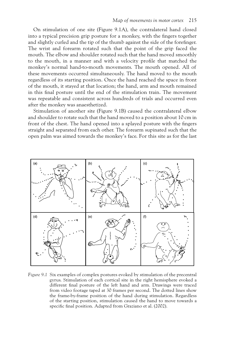On stimulation of one site (Figure 9.1A), the contralateral hand closed into a typical precision grip posture for a monkey, with the fingers together and slightly curled and the tip of the thumb against the side of the forefinger. The wrist and forearm rotated such that the point of the grip faced the mouth. The elbow and shoulder rotated such that the hand moved smoothly to the mouth, in a manner and with a velocity profile that matched the monkey's normal hand-to-mouth movements. The mouth opened. All of these movements occurred simultaneously. The hand moved to the mouth regardless of its starting position. Once the hand reached the space in front of the mouth, it stayed at that location; the hand, arm and mouth remained in this final posture until the end of the stimulation train. The movement was repeatable and consistent across hundreds of trials and occurred even after the monkey was anaesthetized.

Stimulation of another site (Figure 9.1B) caused the contralateral elbow and shoulder to rotate such that the hand moved to a position about 10 cm in front of the chest. The hand opened into a splayed posture with the fingers straight and separated from each other. The forearm supinated such that the open palm was aimed towards the monkey's face. For this site as for the last



*Figure 9.1* Six examples of complex postures evoked by stimulation of the precentral gyrus. Stimulation of each cortical site in the right hemisphere evoked a different final posture of the left hand and arm. Drawings were traced from video footage taped at 30 frames per second. The dotted lines show the frame-by-frame position of the hand during stimulation. Regardless of the starting position, stimulation caused the hand to move towards a specific final position. Adapted from Graziano et al. (2002).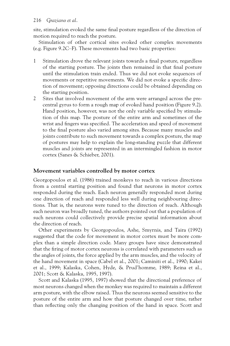site, stimulation evoked the same final posture regardless of the direction of motion required to reach the posture.

Stimulation of other cortical sites evoked other complex movements (e.g. Figure 9.2C–F). These movements had two basic properties:

- 1 Stimulation drove the relevant joints towards a final posture, regardless of the starting posture. The joints then remained in that final posture until the stimulation train ended. Thus we did not evoke sequences of movements or repetitive movements. We did not evoke a specific direction of movement; opposing directions could be obtained depending on the starting position.
- 2 Sites that involved movement of the arm were arranged across the precentral gyrus to form a rough map of evoked hand position (Figure 9.2). Hand position, however, was not the only variable specified by stimulation of this map. The posture of the entire arm and sometimes of the wrist and fingers was specified. The acceleration and speed of movement to the final posture also varied among sites. Because many muscles and joints contribute to such movement towards a complex posture, the map of postures may help to explain the long-standing puzzle that different muscles and joints are represented in an intermingled fashion in motor cortex (Sanes & Schieber, 2001).

# **Movement variables controlled by motor cortex**

Georgopoulos et al. (1986) trained monkeys to reach in various directions from a central starting position and found that neurons in motor cortex responded during the reach. Each neuron generally responded most during one direction of reach and responded less well during neighbouring directions. That is, the neurons were tuned to the direction of reach. Although each neuron was broadly tuned, the authors pointed out that a population of such neurons could collectively provide precise spatial information about the direction of reach.

Other experiments by Georgopoulos, Ashe, Smyrnis, and Taira (1992) suggested that the code for movement in motor cortex must be more complex than a simple direction code. Many groups have since demonstrated that the firing of motor cortex neurons is correlated with parameters such as the angles of joints, the force applied by the arm muscles, and the velocity of the hand movement in space (Cabel et al., 2001; Caminiti et al., 1990; Kakei et al., 1999; Kalaska, Cohen, Hyde, & Prud'homme, 1989; Reina et al., 2001; Scott & Kalaska, 1995, 1997).

Scott and Kalaska (1995, 1997) showed that the directional preference of most neurons changed when the monkey was required to maintain a different arm posture, with the elbow raised. Thus the neurons seemed sensitive to the posture of the entire arm and how that posture changed over time, rather than reflecting only the changing position of the hand in space. Scott and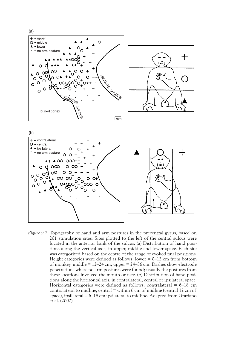

*Figure 9.2* Topography of hand and arm postures in the precentral gyrus, based on 201 stimulation sites. Sites plotted to the left of the central sulcus were located in the anterior bank of the sulcus. (a) Distribution of hand positions along the vertical axis, in upper, middle and lower space. Each site was categorized based on the centre of the range of evoked final positions. Height categories were defined as follows: lower  $= 0-12$  cm from bottom of monkey, middle =  $12-24$  cm, upper =  $24-36$  cm. Dashes show electrode penetrations where no arm postures were found; usually the postures from these locations involved the mouth or face. (b) Distribution of hand positions along the horizontal axis, in contralateral, central or ipsilateral space. Horizontal categories were defined as follows: contralateral  $= 6-18$  cm contralateral to midline, central  $=$  within 6 cm of midline (central 12 cm of space), ipsilateral  $= 6-18$  cm ipsilateral to midline. Adapted from Graziano et al. (2002).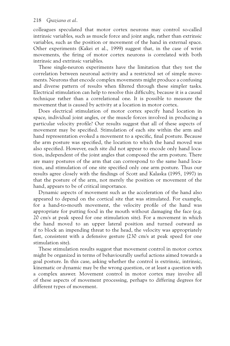colleagues speculated that motor cortex neurons may control so-called intrinsic variables, such as muscle force and joint angle, rather than extrinsic variables, such as the position or movement of the hand in external space. Other experiments (Kakei et al., 1999) suggest that, in the case of wrist movements, the firing of motor cortex neurons is correlated with both intrinsic and extrinsic variables.

These single-neuron experiments have the limitation that they test the correlation between neuronal activity and a restricted set of simple movements. Neurons that encode complex movements might produce a confusing and diverse pattern of results when filtered through these simpler tasks. Electrical stimulation can help to resolve this difficulty, because it is a causal technique rather than a correlational one. It is possible to measure the movement that is caused by activity at a location in motor cortex.

Does electrical stimulation of motor cortex specify hand location in space, individual joint angles, or the muscle forces involved in producing a particular velocity profile? Our results suggest that all of these aspects of movement may be specified. Stimulation of each site within the arm and hand representation evoked a movement to a specific, final posture. Because the arm posture was specified, the location to which the hand moved was also specified. However, each site did not appear to encode only hand location, independent of the joint angles that composed the arm posture. There are many postures of the arm that can correspond to the same hand location, and stimulation of one site specified only one arm posture. Thus our results agree closely with the findings of Scott and Kalaska (1995, 1997) in that the posture of the arm, not merely the position or movement of the hand, appears to be of critical importance.

Dynamic aspects of movement such as the acceleration of the hand also appeared to depend on the cortical site that was stimulated. For example, for a hand-to-mouth movement, the velocity profile of the hand was appropriate for putting food in the mouth without damaging the face (e.g. 20 cm/s at peak speed for one stimulation site). For a movement in which the hand moved to an upper lateral position and turned outward as if to block an impending threat to the head, the velocity was appropriately fast, consistent with a defensive gesture (230 cm/s at peak speed for one stimulation site).

These stimulation results suggest that movement control in motor cortex might be organized in terms of behaviourally useful actions aimed towards a goal posture. In this case, asking whether the control is extrinsic, intrinsic, kinematic or dynamic may be the wrong question, or at least a question with a complex answer. Movement control in motor cortex may involve all of these aspects of movement processing, perhaps to differing degrees for different types of movement.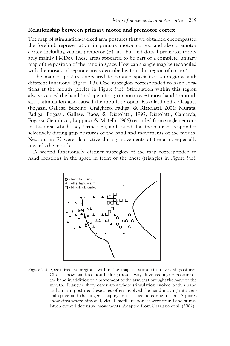#### **Relationship between primary motor and premotor cortex**

The map of stimulation-evoked arm postures that we obtained encompassed the forelimb representation in primary motor cortex, and also premotor cortex including ventral premotor (F4 and F5) and dorsal premotor (probably mainly PMDc). These areas appeared to be part of a complete, unitary map of the position of the hand in space. How can a single map be reconciled with the mosaic of separate areas described within this region of cortex?

The map of postures appeared to contain specialized subregions with different functions (Figure 9.3). One subregion corresponded to hand locations at the mouth (circles in Figure 9.3). Stimulation within this region always caused the hand to shape into a grip posture. At most hand-to-mouth sites, stimulation also caused the mouth to open. Rizzolatti and colleagues (Fogassi, Gallese, Buccino, Craighero, Fadiga, & Rizzolatti, 2001; Murata, Fadiga, Fogassi, Gallese, Raos, & Rizzolatti, 1997; Rizzolatti, Camarda, Fogassi, Gentilucci, Luppino, & Matelli, 1988) recorded from single neurons in this area, which they termed F5, and found that the neurons responded selectively during grip postures of the hand and movements of the mouth. Neurons in F5 were also active during movements of the arm, especially towards the mouth.

A second functionally distinct subregion of the map corresponded to hand locations in the space in front of the chest (triangles in Figure 9.3).



*Figure 9.3* Specialized subregions within the map of stimulation-evoked postures. Circles show hand-to-mouth sites; these always involved a grip posture of the hand in addition to a movement of the arm that brought the hand to the mouth. Triangles show other sites where stimulation evoked both a hand and an arm posture; these sites often involved the hand moving into central space and the fingers shaping into a specific configuration. Squares show sites where bimodal, visual–tactile responses were found and stimulation evoked defensive movements. Adapted from Graziano et al. (2002).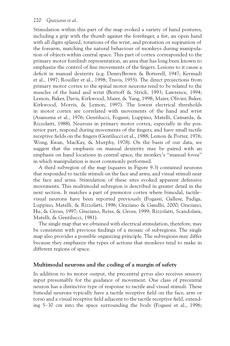Stimulation within this part of the map evoked a variety of hand postures, including a grip with the thumb against the forefinger, a fist, an open hand with all digits splayed, rotations of the wrist, and pronation or supination of the forearm, matching the natural behaviour of monkeys during manipulation of objects within central space. This part of cortex corresponded to the primary motor forelimb representation, an area that has long been known to emphasize the control of fine movements of the fingers. Lesions to it cause a deficit in manual dexterity (e.g. DennyBrown & Botterell, 1947; Kermadi et al., 1997; Rouiller et al., 1998; Travis, 1955). The direct projections from primary motor cortex to the spinal motor neurons tend to be related to the muscles of the hand and wrist (Bortoff & Strick, 1993; Lawrence, 1994; Lemon, Baker, Davis, Kirkwood, Maier, & Yang, 1998; Maier, Olivier, Baker, Kirkwood, Morris, & Lemon, 1997). The lowest electrical thresholds in motor cortex are correlated with movements of the hand and wrist (Asanuma et al., 1976; Gentilucci, Fogassi, Luppino, Matelli, Camarda, & Rizzolatti, 1988). Neurons in primary motor cortex, especially in the posterior part, respond during movements of the fingers, and have small tactile receptive fields on the fingers (Gentilucci et al., 1988; Lemon & Porter, 1976; Wong, Kwan, MacKay, & Murphy, 1978). On the basis of our data, we suggest that the emphasis on manual dexterity may be paired with an emphasis on hand locations in central space, the monkey's "manual fovea" in which manipulation is most commonly performed.

A third subregion of the map (squares in Figure 9.3) contained neurons that responded to tactile stimuli on the face and arms, and visual stimuli near the face and arms. Stimulation of these sites evoked apparent defensive movements. This multimodal subregion is described in greater detail in the next section. It matches a part of premotor cortex where bimodal, tactile– visual neurons have been reported previously (Fogassi, Gallese, Fadiga, Luppino, Matelli, & Rizzolatti, 1996; Graziano & Gandhi, 2000; Graziano, Hu, & Gross, 1997; Graziano, Reiss, & Gross, 1999; Rizzolatti, Scandolara, Matelli, & Gentilucci, 1981).

The single map that we obtained with electrical stimulation, therefore, may be consistent with previous findings of a mosaic of subregions. The single map also provides a possible organizing principle. The subregions may differ because they emphasize the types of actions that monkeys tend to make in different regions of space.

# **Multimodal neurons and the coding of a margin of safety**

In addition to its motor output, the precentral gyrus also receives sensory input presumably for the guidance of movement. One class of precentral neuron has a distinctive type of response to tactile and visual stimuli. These bimodal neurons typically have a tactile receptive field on the face, arm or torso and a visual receptive field adjacent to the tactile receptive field, extending 5–30 cm into the space surrounding the body (Fogassi et al., 1996;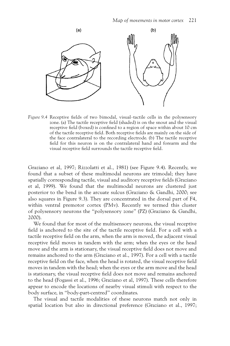

*Figure 9.4* Receptive fields of two bimodal, visual–tactile cells in the polysensory zone. (a) The tactile receptive field (shaded) is on the snout and the visual receptive field (boxed) is confined to a region of space within about 10 cm of the tactile receptive field. Both receptive fields are mainly on the side of the face contralateral to the recording electrode. (b) The tactile receptive field for this neuron is on the contralateral hand and forearm and the visual receptive field surrounds the tactile receptive field.

Graziano et al, 1997; Rizzolatti et al., 1981) (see Figure 9.4). Recently, we found that a subset of these multimodal neurons are trimodal; they have spatially corresponding tactile, visual and auditory receptive fields (Graziano et al, 1999). We found that the multimodal neurons are clustered just posterior to the bend in the arcuate sulcus (Graziano & Gandhi, 2000; see also squares in Figure 9.3). They are concentrated in the dorsal part of F4, within ventral premotor cortex (PMv). Recently we termed this cluster of polysensory neurons the "polysensory zone" (PZ) (Graziano & Gandhi, 2000).

We found that for most of the multisensory neurons, the visual receptive field is anchored to the site of the tactile receptive field. For a cell with a tactile receptive field on the arm, when the arm is moved, the adjacent visual receptive field moves in tandem with the arm; when the eyes or the head move and the arm is stationary, the visual receptive field does not move and remains anchored to the arm (Graziano et al., 1997). For a cell with a tactile receptive field on the face, when the head is rotated, the visual receptive field moves in tandem with the head; when the eyes or the arm move and the head is stationary, the visual receptive field does not move and remains anchored to the head (Fogassi et al., 1996; Graziano et al, 1997). These cells therefore appear to encode the locations of nearby visual stimuli with respect to the body surface, in "body-part-centred" coordinates.

The visual and tactile modalities of these neurons match not only in spatial location but also in directional preference (Graziano et al., 1997;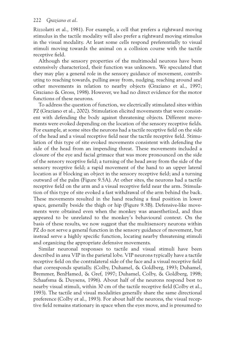#### 222 *Graziano et al.*

Rizzolatti et al., 1981). For example, a cell that prefers a rightward moving stimulus in the tactile modality will also prefer a rightward moving stimulus in the visual modality. At least some cells respond preferentially to visual stimuli moving towards the animal on a collision course with the tactile receptive field.

Although the sensory properties of the multimodal neurons have been extensively characterized, their function was unknown. We speculated that they may play a general role in the sensory guidance of movement, contributing to reaching towards, pulling away from, nudging, reaching around and other movements in relation to nearby objects (Graziano et al., 1997; Graziano & Gross, 1998). However, we had no direct evidence for the motor functions of these neurons.

To address the question of function, we electrically stimulated sites within PZ (Graziano et al., 2002). Stimulation elicited movements that were consistent with defending the body against threatening objects. Different movements were evoked depending on the location of the sensory receptive fields. For example, at some sites the neurons had a tactile receptive field on the side of the head and a visual receptive field near the tactile receptive field. Stimulation of this type of site evoked movements consistent with defending the side of the head from an impending threat. These movements included a closure of the eye and facial grimace that was more pronounced on the side of the sensory receptive field; a turning of the head away from the side of the sensory receptive field; a rapid movement of the hand to an upper lateral location as if blocking an object in the sensory receptive field; and a turning outward of the palm (Figure 9.5A). At other sites, the neurons had a tactile receptive field on the arm and a visual receptive field near the arm. Stimulation of this type of site evoked a fast withdrawal of the arm behind the back. These movements resulted in the hand reaching a final position in lower space, generally beside the thigh or hip (Figure 9.5B). Defensive-like movements were obtained even when the monkey was anaesthetized, and thus appeared to be unrelated to the monkey's behavioural context. On the basis of these results, we now suggest that the multisensory neurons within PZ do not serve a general function in the sensory guidance of movement, but instead serve a highly specific function, locating nearby threatening stimuli and organizing the appropriate defensive movements.

Similar neuronal responses to tactile and visual stimuli have been described in area VIP in the parietal lobe. VIP neurons typically have a tactile receptive field on the contralateral side of the face and a visual receptive field that corresponds spatially. (Colby, Duhamel, & Goldberg, 1993; Duhamel, Bremmer, BenHamed, & Gref, 1997; Duhamel, Colby, & Goldberg, 1998; Schaafsma & Duysens, 1996). About half of the neurons respond best to nearby visual stimuli, within 30 cm of the tactile receptive field (Colby et al., 1993). The tactile and visual modalities generally share the same directional preference (Colby et al., 1993). For about half the neurons, the visual receptive field remains stationary in space when the eyes move, and is presumed to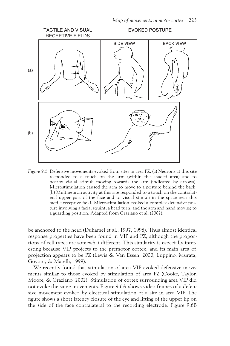

*Figure 9.5* Defensive movements evoked from sites in area PZ. (a) Neurons at this site responded to a touch on the arm (within the shaded area) and to nearby visual stimuli moving towards the arm (indicated by arrows). Microstimulation caused the arm to move to a posture behind the back. (b) Multineuron activity at this site responded to a touch on the contralateral upper part of the face and to visual stimuli in the space near this tactile receptive field. Microstimulation evoked a complex defensive posture involving a facial squint, a head turn, and the arm and hand moving to a guarding position. Adapted from Graziano et al. (2002).

be anchored to the head (Duhamel et al., 1997, 1998). Thus almost identical response properties have been found in VIP and PZ, although the proportions of cell types are somewhat different. This similarity is especially interesting because VIP projects to the premotor cortex, and its main area of projection appears to be PZ (Lewis & Van Essen, 2000; Luppino, Murata, Govoni, & Matelli, 1999).

We recently found that stimulation of area VIP evoked defensive movements similar to those evoked by stimulation of area PZ (Cooke, Taylor, Moore, & Graziano, 2002). Stimulation of cortex surrounding area VIP did not evoke the same movements. Figure 9.6A shows video frames of a defensive movement evoked by electrical stimulation of a site in area VIP. The figure shows a short latency closure of the eye and lifting of the upper lip on the side of the face contralateral to the recording electrode. Figure 9.6B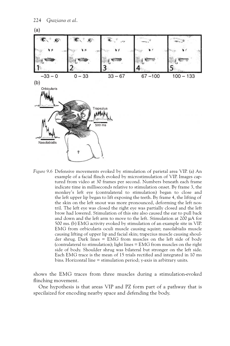

*Figure 9.6* Defensive movements evoked by stimulation of parietal area VIP. (a) An example of a facial flinch evoked by microstimulation of VIP. Images captured from video at 30 frames per second. Numbers beneath each frame indicate time in milliseconds relative to stimulation onset. By frame 3, the monkey's left eye (contralateral to stimulation) began to close and the left upper lip began to lift exposing the teeth. By frame 4, the lifting of the skin on the left snout was more pronounced, deforming the left nostril. The left eye was closed the right eye was partially closed and the left brow had lowered. Stimulation of this site also caused the ear to pull back and down and the left arm to move to the left. Stimulation at 200 µA for 500 ms. (b) EMG activity evoked by stimulation of an example site in VIP. EMG from orbicularis oculi muscle causing squint; nasolabialis muscle causing lifting of upper lip and facial skin; trapezius muscle causing shoulder shrug. Dark lines = EMG from muscles on the left side of body (contralateral to stimulation); light lines  $=$  EMG from muscles on the right side of body. Shoulder shrug was bilateral but stronger on the left side. Each EMG trace is the mean of 15 trials rectified and integrated in 10 ms bins. Horizontal line = stimulation period; y-axis in arbitrary units.

shows the EMG traces from three muscles during a stimulation-evoked flinching movement.

One hypothesis is that areas VIP and PZ form part of a pathway that is specilaized for encoding nearby space and defending the body.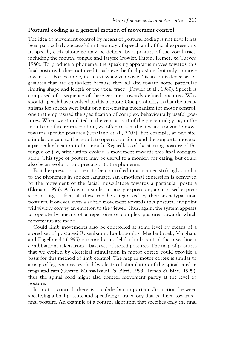#### **Postural coding as a general method of movement control**

The idea of movement control by means of postural coding is not new. It has been particularly successful in the study of speech and of facial expressions. In speech, each phoneme may be defined by a posture of the vocal tract, including the mouth, tongue and larynx (Fowler, Rubin, Remez, & Turvey, 1980). To produce a phoneme, the speaking apparatus moves towards this final posture. It does not need to achieve the final posture, but only to move towards it. For example, in this view a given vowel "is an equivalence set of gestures that are equivalent because they all aim toward some particular limiting shape and length of the vocal tract" (Fowler et al., 1980). Speech is composed of a sequence of these gestures towards defined postures. Why should speech have evolved in this fashion? One possibility is that the mechanisms for speech were built on a pre-existing mechanism for motor control, one that emphasized the specification of complex, behaviourally useful postures. When we stimulated in the ventral part of the precentral gyrus, in the mouth and face representation, we often caused the lips and tongue to move towards specific postures (Graziano et al., 2002). For example, at one site, stimulation caused the mouth to open about 2 cm and the tongue to move to a particular location in the mouth. Regardless of the starting posture of the tongue or jaw, stimulation evoked a movement towards this final configuration. This type of posture may be useful to a monkey for eating, but could also be an evolutionary precursor to the phoneme.

Facial expressions appear to be controlled in a manner strikingly similar to the phonemes in spoken language. An emotional expression is conveyed by the movement of the facial musculature towards a particular posture (Ekman, 1993). A frown, a smile, an angry expression, a surprised expression, a disgust face, all these can be categorized by their archetypal final postures. However, even a subtle movement towards this postural endpoint will vividly convey an emotion to the viewer. Thus, again, the system appears to operate by means of a repertoire of complex postures towards which movements are made.

Could limb movements also be controlled at some level by means of a stored set of postures? Rosenbaum, Loukopoulos, Meulenbroek, Vaughan, and Engelbrecht (1995) proposed a model for limb control that uses linear combinations taken from a basis set of stored postures. The map of postures that we evoked by electrical stimulation in motor cortex could provide a basis for this method of limb control. The map in motor cortex is similar to a map of leg postures evoked by electrical stimulation of the spinal cord in frogs and rats (Giszter, Mussa-Ivaldi, & Bizzi, 1993; Tresch & Bizzi, 1999); thus the spinal cord might also control movement partly at the level of posture.

In motor control, there is a subtle but important distinction between specifying a final posture and specifying a trajectory that is aimed towards a final posture. An example of a control algorithm that specifies only the final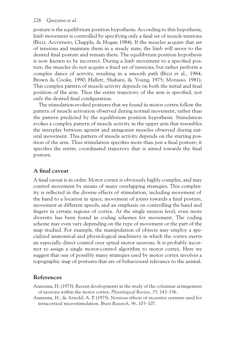posture is the equilibrium position hypothesis. According to this hypothesis, limb movement is controlled by specifying only a final set of muscle tensions (Bizzi, Accornero, Chapple, & Hogan 1984). If the muscles acquire that set of tensions and maintain them in a steady state, the limb will move to the desired final posture and remain there. The equilibrium position hypothesis is now known to be incorrect. During a limb movement to a specified posture, the muscles do not acquire a fixed set of tensions, but rather perform a complex dance of activity, resulting in a smooth path (Bizzi et al., 1984; Brown & Cooke, 1990; Hallett, Shahani, & Young, 1975; Morasso, 1981). This complex pattern of muscle activity depends on both the initial and final position of the arm. Thus the entire trajectory of the arm is specified, not only the desired final configuration.

The stimulation-evoked postures that we found in motor cortex follow the pattern of muscle activation observed during normal movement, rather than the pattern predicted by the equilibrium position hypothesis. Stimulation evokes a complex pattern of muscle activity in the upper arm that resembles the interplay between agonist and antagonist muscles observed during natural movement. This pattern of muscle activity depends on the starting position of the arm. Thus stimulation specifies more than just a final posture; it specifies the entire, coordinated trajectory that is aimed towards the final posture.

# **A final caveat**

A final caveat is in order. Motor cortex is obviously highly complex, and may control movement by means of many overlapping strategies. This complexity is reflected in the diverse effects of stimulation, including movement of the hand to a location in space, movement of joints towards a final posture, movement at different speeds, and an emphasis on controlling the hand and fingers in certain regions of cortex. At the single neuron level, even more diversity has been found in coding schemes for movement. The coding scheme may even vary depending on the type of movement or the part of the map studied. For example, the manipulation of objects may employ a specialized anatomical and physiological machinery in which the cortex exerts an especially direct control over spinal motor neurons. It is probably incorrect to assign a single motor-control algorithm to motor cortex. Here we suggest that one of possibly many strategies used by motor cortex involves a topographic map of postures that are of behavioural relevance to the animal.

# **References**

Asanuma, H. (1975). Recent developments in the study of the columnar arrangement of neurons within the motor cortex. *Physiological Review*, *55*, 143–156.

Asanuma, H., & Arnold, A. P. (1975). Noxious effects of excessive currents used for intracortical microstimulation. *Brain Research*, *96*, 103–107.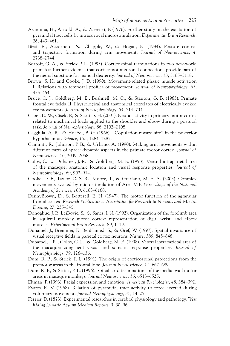- Asanuma, H., Arnold, A., & Zarzecki, P. (1976). Further study on the excitation of pyramidal tract cells by intracortical microstimulation. *Experimental Brain Research*, *26*, 443–461.
- Bizzi, E., Accornero, N., Chapple, W., & Hogan, N. (1984). Posture control and trajectory formation during arm movement. *Journal of Neuroscience*, *4*, 2738–2744.
- Bortoff, G. A., & Strick P. L. (1993). Corticospinal terminations in two new-world primates: further evidence that corticomotoneuronal connections provide part of the neural substrate for manual dexterity. *Journal of Neuroscience*, *13*, 5105–5118.
- Brown, S. H. and Cooke, J. D. (1990). Movement-related phasic muscle activation I. Relations with temporal profiles of movement. *Journal of Neurophysiology*, *63*, 455–464.
- Bruce, C. J., Goldberg, M. E., Bushnell, M. C., & Stanton, G. B. (1985). Primate frontal eye fields. II. Physiological and anatomical correlates of electrically evoked eye movements. *Journal of Neurophysiology*, *54*, 714–734.
- Cabel, D. W., Cisek, P., & Scott, S. H. (2001). Neural activity in primary motor cortex related to mechanical loads applied to the shoulder and elbow during a postural task. *Journal of Neurophysiology*, *86*, 2102–2108.
- Caggiula, A. R., & Hoebel, B. G. (1966). "Copulation-reward site" in the posterior hypothalamus. *Science*, *153*, 1284–1285.
- Caminiti, R., Johnson, P. B., & Urbano, A. (1990). Making arm movements within different parts of space: dynamic aspects in the primate motor cortex. *Journal of Neuroscience*, *10*, 2039–2058.
- Colby, C. L., Duhamel, J.-R., & Goldberg, M. E. (1993). Ventral intraparietal area of the macaque: anatomic location and visual response properties. *Journal of Neurophysiology*, *69*, 902–914.
- Cooke, D. F., Taylor, C. S. R., Moore, T., & Graziano, M. S. A. (2003). Complex movements evoked by microstimulation of Area VIP. *Proceedings of the National Academy of Sciences*, *100*, 6163–6168.
- DennyBrown, D., & Botterell, E. H. (1947). The motor function of the agranular frontal cortex. *Research Publications: Association for Research in Nervous and Mental Disease*, *27*, 235–345.
- Donoghue, J. P., LeiBovic, S., & Sanes, J. N. (1992). Organization of the forelimb area in squirrel monkey motor cortex: representation of digit, wrist, and elbow muscles. *Experimental Brain Research*, *89*, 1–19.
- Duhamel, J., Bremmer, F., BenHamed, S., & Gref, W. (1997). Spatial invariance of visual receptive fields in parietal cortex neurons. *Nature*, *389*, 845–848.
- Duhamel, J. R., Colby, C. L., & Goldberg, M. E. (1998). Ventral intraparietal area of the macaque: congruent visual and somatic response properties. *Journal of Neurophysiology*, *79*, 126–136.
- Dum, R. P., & Strick, P. L. (1991). The origin of corticospinal projections from the premotor areas in the frontal lobe. *Journal Neuroscience*, *11*, 667–689.
- Dum, R. P., & Strick, P. L. (1996). Spinal cord terminations of the medial wall motor areas in macaque monkeys. *Journal Neuroscience*, *16*, 6513–6525.
- Ekman, P. (1993). Facial expression and emotion. *American Psychologist*, *48*, 384–392.
- Evarts, E. V. (1968). Relation of pyramidal tract activity to force exerted during voluntary movement. *Journal Neurophysiology*, *31*, 14–27.
- Ferrier, D. (1873). Experimental researches in cerebral physiology and pathology. *West Riding Lunatic Asylum Medical Reports*, *3*, 30–96.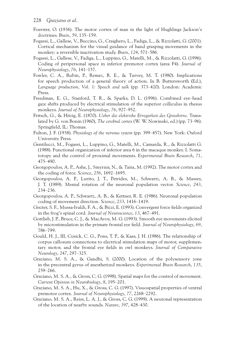- Foerster, O. (1936). The motor cortex of man in the light of Hughlings Jackson's doctrines. *Brain*, *59*, 135–159.
- Fogassi, L., Gallese, V., Buccino, G., Craighero, L., Fadiga, L., & Rizzolatti, G. (2001). Cortical mechanism for the visual guidance of hand grasping movements in the monkey: a reversible inactivation study. *Brain*, *124*, 571–586.
- Fogassi, L., Gallese, V., Fadiga, L., Luppino, G., Matelli, M., & Rizzolatti, G. (1996). Coding of peripersonal space in inferior premotor cortex (area F4). *Journal of Neurophysiology*, *76*, 141–157.
- Fowler, C. A., Rubin, P., Remez, R. E., & Turvey, M. T. (1980). Implications for speech production of a general theory of action. In B. Buttersworth (Ed.), *Language production, Vol. 1: Speech and talk* (pp. 373–420). London: Academic Press.
- Freedman, E. G., Stanford, T. R., & Sparks, D. L. (1996). Combined eye–head gaze shifts produced by electrical stimulation of the superior colliculus in rhesus monkeys. *Journal of Neurophysiology*, *76*, 927–952.
- Fritsch, G., & Hitzig, E. (1870). *Ueber die elektrishe Erregarkeit des Grosshirns*. Translated by G. von Bonin (1960), *The cerebral cortex* (W. W. Nowinski, ed.) (pp. 73–96). Springfield, IL: Thomas.
- Fulton, J. F. (1938). *Physiology of the nervous system* (pp. 399–457). New York: Oxford University Press.
- Gentilucci, M., Fogassi, L., Luppino, G., Matelli, M., Camarda, R., & Rizzolatti G. (1988). Functional organization of inferior area 6 in the macaque monkey. I. Somatotopy and the control of proximal movements. *Experimental Brain Research*, *71*, 475–490.
- Georgopoulos, A. P., Ashe, J., Smyrnis, N., & Taira, M. (1992). The motor cortex and the coding of force. *Science*, *256*, 1692–1695.
- Georgopoulos, A. P., Lurito, J. T., Petrides, M., Schwartz, A. B., & Massey, J. T. (1989). Mental rotation of the neuronal population vector. *Science*, *243*, 234–236.
- Georgopoulos, A. P., Schwartz, A. B., & Kettner, R. E. (1986). Neuronal population coding of movement direction. *Science*, *233*, 1416–1419.
- Giszter, S. F., Mussa-Ivaldi, F. A., & Bizzi, E. (1993). Convergent force fields organized in the frog's spinal cord. *Journal of Neuroscience*, *13*, 467–491.
- Gottlieb, J. P., Bruce, C. J., & MacAvoy, M. G. (1993). Smooth eye movements elicited by microstimulation in the primate frontal eye field. *Journal of Neurophysiology*, *69*, 786–799.
- Gould, H. J., III, Cusick, C. G., Pons, T. P., & Kaas, J. H. (1986). The relationship of corpus callosum connections to electrical stimulation maps of motor, supplementary motor, and the frontal eye fields in owl monkeys. *Journal of Comparative Neurology*, *247*, 297–325.
- Graziano, M. S. A., & Gandhi, S. (2000). Location of the polysensory zone in the precentral gyrus of anesthetized monkeys. *Experimental Brain Research*, *135*, 259–266.
- Graziano, M. S. A., & Gross, C. G. (1998). Spatial maps for the control of movement. *Current Opinion in Neurobiology*, *8*, 195–201.
- Graziano, M. S. A., Hu, X., & Gross, C. G. (1997). Visuospatial properties of ventral premotor cortex. *Journal of Neurophysiology*, *77*, 2268–2292.
- Graziano, M. S. A., Reiss, L. A. J., & Gross, C. G. (1999). A neuronal representation of the location of nearby sounds. *Nature*, *397*, 428–430.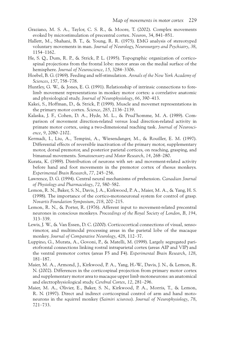- Graziano, M. S. A., Taylor, C. S. R., & Moore, T. (2002). Complex movements evoked by microstimulation of precentral cortex. *Neuron*, 34, 841–851.
- Hallett, M., Shahani, B. T., & Young, R. R. (1975). EMG analysis of stereotyped voluntary movements in man. *Journal of Neurology, Neurosurgery and Psychiatry*, *38*, 1154–1162.
- He, S. Q., Dum, R. P., & Strick, P. L. (1995). Topographic organization of corticospinal projections from the frontal lobe: motor areas on the medial surface of the hemisphere. *Journal of Neuroscience*, *15*, 3284–3306.
- Hoebel, B. G. (1969). Feeding and self-stimulation. *Annals of the New York Academy of Sciences*, *157*, 758–778.
- Huntley, G. W., & Jones, E. G. (1991). Relationship of intrinsic connections to forelimb movement representations in monkey motor cortex: a correlative anatomic and physiological study. *Journal of Neurophysiology*, *66*, 390–413.
- Kakei, S., Hoffman, D., & Strick, P. (1999). Muscle and movemet representations in the primary motor cortex. *Science*, *285*, 2136–2139.
- Kalaska, J. F., Cohen, D. A., Hyde, M. L., & Prud'homme, M. A. (1989). Comparison of movement direction-related versus load direction-related activity in primate motor cortex, using a two-dimensional reaching task. *Journal of Neuroscience*, *9*, 2080–2102.
- Kermadi, I., Liu, A., Tempini, A., Wiesendanger, M., & Rouiller, E. M. (1997). Differential effects of reversible inactivation of the primary motor, supplementary motor, dorsal premotor, and posterior parietal cortices, on reaching, grasping, and bimanual movements. *Somatosensory and Motor Research*, *14*, 268–280.
- Kurata, K. (1989). Distribution of neurons with set- and movement-related activity before hand and foot movements in the premotor cortex of rhesus monkeys. *Experimental Brain Research*, *77*, 245–256.
- Lawrence, D. G. (1994). Central neural mechanisms of prehension. *Canadian Journal of Physiology and Pharmacology*, *72*, 580–582.
- Lemon, R. N., Baker, S. N., Davis, J. A., Kirkwood, P. A., Maier, M. A., & Yang, H. S. (1998). The importance of the cortico-motoneuronal system for control of grasp. *Novartis Foundation Symposium*, *218*, 202–215.
- Lemon, R. N., & Porter, R. (1976). Afferent input to movement-related precentral neurones in conscious monkeys. *Proceedings of the Royal Society of London, B*, *194*, 313–339.
- Lewis, J. W., & Van Essen, D. C. (2000). Corticocortical connections of visual, sensorimotor, and multimodal processing areas in the parietal lobe of the macaque monkey. *Journal of Comparative Neurology*, *428*, 112–37.
- Luppino, G., Murata, A., Govoni, P., & Matelli, M. (1999). Largely segregated parietofrontal connections linking rostral intraparietal cortex (areas AIP and VIP) and the ventral premotor cortex (areas F5 and F4). *Experimental Brain Research*, *128*, 181–187.
- Maier, M. A., Armond, J., Kirkwood, P. A., Yang, H.-W., Davis, J. N., & Lemon, R. N. (2002). Differences in the corticospinal projection from primary motor cortex and supplementary motor area to macaque upper limb motoneurons: an anatomical and electrophysiological study. *Cerebral Cortex*, *12*, 281–296.
- Maier, M. A., Olivier, E., Baker, S. N., Kirkwood, P. A., Morris, T., & Lemon, R. N. (1997). Direct and indirect corticospinal control of arm and hand motoneurons in the squirrel monkey (*Saimiri sciureus*). *Journal of Neurophysiology*, *78*, 721–733.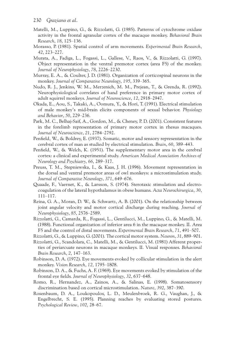- 230 *Graziano et al.*
- Matelli, M., Luppino, G., & Rizzolatti, G. (1985). Patterns of cytochrome oxidase activity in the frontal agranular cortex of the macaque monkey. *Behavioral Brain Research*, *18*, 125–136.
- Morasso, P. (1981). Spatial control of arm movements. *Experimental Brain Research*, *42*, 223–227.
- Murata, A., Fadiga, L., Fogassi, L., Gallese, V., Raos, V., & Rizzolatti, G. (1997). Object representation in the ventral premotor cortex (area F5) of the monkey. *Journal of Neurophysiology*, *78*, 2226–2230.
- Murray, E. A., & Coulter, J. D. (1981). Organization of corticospinal neurons in the monkey. *Journal of Comparative Neurology*, *195*, 339–365.
- Nudo, R. J., Jenkins, W. M., Merzenich, M. M., Prejean, T., & Grenda, R. (1992). Neurophysiological correlates of hand preference in primary motor cortex of adult squirrel monkeys. *Journal of Neuroscience*, *12*, 2918–2947.
- Okada, E., Aou, S., Takaki, A., Oomura, Y., & Hori, T. (1991). Electrical stimulation of male monkey's mid-brain elicits components of sexual behavior. *Physiology and Behavior*, *50*, 229–236.
- Park, M. C., Belhaj-Saif, A., Gordon, M., & Cheney, P. D. (2001). Consistent features in the forelimb representation of primary motor cortex in rhesus macaques. *Journal of Neuroscience*, *21*, 2784–2792.
- Penfield, W., & Boldrey, E. (1937). Somatic, motor and sensory representation in the cerebral cortex of man as studied by electrical stimulation. *Brain*, *60*, 389–443.
- Penfield, W., & Welch, K. (1951). The supplementary motor area in the cerebral cortex: a clinical and experimental study. *American Medical Association Archives of Neurology and Psychiatry*, *66*, 289–317.
- Preuss, T. M., Stepniewska, I., & Kaas, J. H. (1996). Movement representation in the dorsal and ventral premotor areas of owl monkeys: a microstimulation study. *Journal of Comparative Neurology*, *371*, 649–676.
- Quaade, F., Vaernet, K., & Larsson, S. (1974). Sterotaxic stimulation and electrocoagulation of the lateral hypothalamus in obese humans. *Acta Neurochirurgica*, *30*, 111–117.
- Reina, G. A., Moran, D. W., & Schwartz, A. B. (2001). On the relationship between joint angular velocity and motor cortical discharge during reaching. *Journal of Neurophysiology*, *85*, 2576–2589.
- Rizzolatti, G., Camarda, R., Fogassi, L., Gentilucci, M., Luppino, G., & Matelli, M. (1988). Functional organization of inferior area 6 in the macaque monkey. II. Area F5 and the control of distal movements. *Experimental Brain Research*, *71*, 491–507.
- Rizzolatti, G., & Luppino, G. (2001). The cortical motor system. *Neuron*, *31*, 889–901.
- Rizzolatti, G., Scandolara, C., Matelli, M., & Gentilucci, M. (1981) Afferent properties of periarcuate neurons in macaque monkeys. II. Visual responses. *Behavioral Brain Research*, *2*, 147–163.
- Robinson, D. A. (1972). Eye movements evoked by collicular stimulation in the alert monkey. *Vision Research*, *12*, 1795–1808.
- Robinson, D. A., & Fuchs, A. F. (1969). Eye movements evoked by stimulation of the frontal eye fields. *Journal of Neurophysiology*, *32*, 637–648.
- Romo, R., Hernandez, A., Zainos, A., & Salinas, E. (1998). Somatosensory discrimination based on cortical microstimulation. *Nature*, *392*, 387–390.
- Rosenbaum, D. A., Loukopoulos, L. D., Meulenbroek, R. G., Vaughan, J., & Engelbrecht, S. E. (1995). Planning reaches by evaluating stored postures. *Psychological Review*, *102*, 28–67.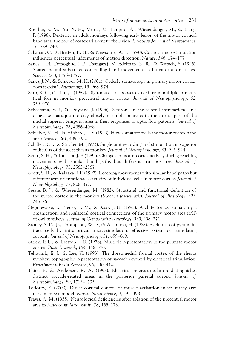- Rouiller, E. M., Yu, X. H., Moret, V., Tempini, A., Wiesendanger, M., & Liang, F. (1998). Dexterity in adult monkeys following early lesion of the motor cortical hand area: the role of cortex adjacent to the lesion. *European Journal of Neuroscience*, *10*, 729–740.
- Salzman, C. D., Britten, K. H., & Newsome, W. T. (1990). Cortical microstimulation influences perceptual judgements of motion direction. *Nature*, *346*, 174–177.
- Sanes, J. N., Donoghue, J. P., Thangaraj, V., Edelman, R. R., & Warach, S. (1995). Shared neural substrates controlling hand movements in human motor cortex. *Science*, *268*, 1775–1777.
- Sanes, J. N., & Schieber, M. H. (2001). Orderly somatotopy in primary motor cortex: does it exist? *Neuroimage*, *13*, 968–974.
- Sato, K. C., & Tanji, J. (1989). Digit-muscle responses evoked from multiple intracortical foci in monkey precentral motor cortex. *Journal of Neurophysiology*, *62*, 959–970.
- Schaafsma, S. J., & Duysens, J. (1996). Neurons in the ventral intraparietal area of awake macaque monkey closely resemble neurons in the dorsal part of the medial superior temporal area in their responses to optic flow patterns. *Journal of Neurophysiology*, *76*, 4056–4068
- Schieber, M. H., & Hibbard, L. S. (1993). How somatotopic is the motor cortex hand area? *Science*, *261*, 489–492.
- Schiller, P. H., & Stryker, M. (1972). Single-unit recording and stimulation in superior colliculus of the alert rhesus monkey. *Journal of Neurophysiology*, *35*, 915–924.
- Scott, S. H., & Kalaska, J. F. (1995). Changes in motor cortex activity during reaching movements with similar hand paths but different arm postures. *Journal of Neurophysiology*, *73*, 2563–2567.
- Scott, S. H., & Kalaska, J. F. (1997). Reaching movements with similar hand paths but different arm orientations. I. Activity of individual cells in motor cortex. *Journal of Neurophysiology*, *77*, 826–852.
- Sessle, B. J., & Wiesendanger, M. (1982). Structural and functional definition of the motor cortex in the monkey (*Macaca fascicularis*). *Journal of Physiology*, *323*, 245–265.
- Stepniewska, I., Preuss, T. M., & Kaas, J. H. (1993). Architectonics, somatotopic organization, and ipsilateral cortical connections of the primary motor area (M1) of owl monkeys. *Journal of Comparative Neurology*, *330*, 238–271.
- Stoney, S. D., Jr., Thompson, W. D., & Asanuma, H. (1968). Excitation of pyramidal tract cells by intracortical microstimulation: effective extent of stimulating current. *Journal of Neurophysiology*, *31*, 659–669.
- Strick, P. L., & Preston, J. B. (1978). Multiple representation in the primate motor cortex. *Brain Research*, *154*, 366–370.
- Tehovnik, E. J., & Lee, K. (1993). The dorsomedial frontal cortex of the rhesus monkey: topographic representation of saccades evoked by electrical stimulation. *Experimental Brain Research*, *96*, 430–442.
- Thier, P., & Andersen, R. A. (1998). Electrical microstimulation distinguishes distinct saccade-related areas in the posterior parietal cortex. *Journal of Neurophysiology*, *80*, 1713–1735.
- Todorov, E. (2000). Direct cortical control of muscle activation in voluntary arm movements: a model. *Nature Neuroscience*, *3*, 391–398.
- Travis, A. M. (1955). Neurological deficiencies after ablation of the precentral motor area in *Macaca mulatta*. *Brain*, *78*, 155–173.